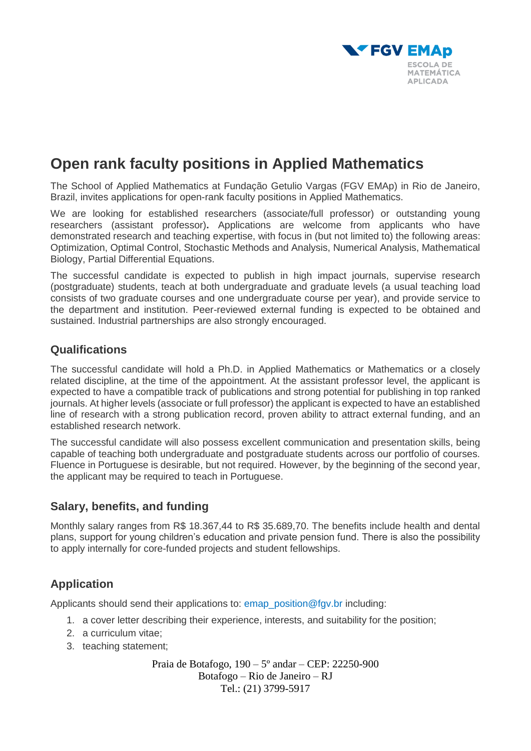

# **Open rank faculty positions in Applied Mathematics**

The School of Applied Mathematics at Fundação Getulio Vargas (FGV EMAp) in Rio de Janeiro, Brazil, invites applications for open-rank faculty positions in Applied Mathematics.

We are looking for established researchers (associate/full professor) or outstanding young researchers (assistant professor)**.** Applications are welcome from applicants who have demonstrated research and teaching expertise, with focus in (but not limited to) the following areas: Optimization, Optimal Control, Stochastic Methods and Analysis, Numerical Analysis, Mathematical Biology, Partial Differential Equations.

The successful candidate is expected to publish in high impact journals, supervise research (postgraduate) students, teach at both undergraduate and graduate levels (a usual teaching load consists of two graduate courses and one undergraduate course per year), and provide service to the department and institution. Peer-reviewed external funding is expected to be obtained and sustained. Industrial partnerships are also strongly encouraged.

## **Qualifications**

The successful candidate will hold a Ph.D. in Applied Mathematics or Mathematics or a closely related discipline, at the time of the appointment. At the assistant professor level, the applicant is expected to have a compatible track of publications and strong potential for publishing in top ranked journals. At higher levels (associate or full professor) the applicant is expected to have an established line of research with a strong publication record, proven ability to attract external funding, and an established research network.

The successful candidate will also possess excellent communication and presentation skills, being capable of teaching both undergraduate and postgraduate students across our portfolio of courses. Fluence in Portuguese is desirable, but not required. However, by the beginning of the second year, the applicant may be required to teach in Portuguese.

## **Salary, benefits, and funding**

Monthly salary ranges from R\$ 18.367,44 to R\$ 35.689,70. The benefits include health and dental plans, support for young children's education and private pension fund. There is also the possibility to apply internally for core-funded projects and student fellowships.

## **Application**

Applicants should send their applications to: emap position@fgv.br including:

- 1. a cover letter describing their experience, interests, and suitability for the position;
- 2. a curriculum vitae;
- 3. teaching statement;

Praia de Botafogo, 190 – 5º andar – CEP: 22250-900 Botafogo – Rio de Janeiro – RJ Tel.: (21) 3799-5917